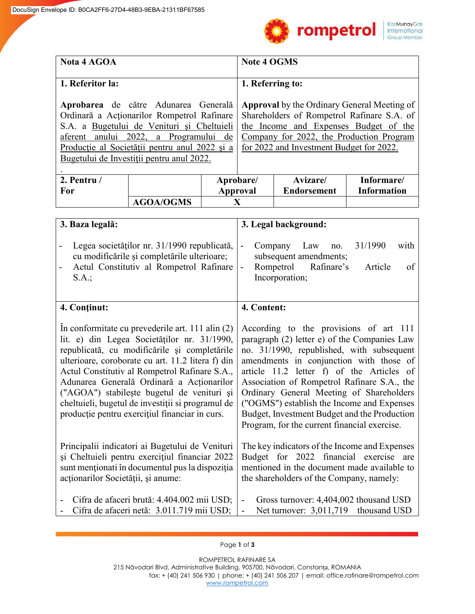

| <b>Nota 4 AGOA</b>                                                                                                                                                                                                                                                                                                                                                                                                                                      |                  |                 | <b>Note 4 OGMS</b>                                                                                                                                                                                                                                                                                                                                                                                                                                                   |                    |                    |
|---------------------------------------------------------------------------------------------------------------------------------------------------------------------------------------------------------------------------------------------------------------------------------------------------------------------------------------------------------------------------------------------------------------------------------------------------------|------------------|-----------------|----------------------------------------------------------------------------------------------------------------------------------------------------------------------------------------------------------------------------------------------------------------------------------------------------------------------------------------------------------------------------------------------------------------------------------------------------------------------|--------------------|--------------------|
|                                                                                                                                                                                                                                                                                                                                                                                                                                                         |                  |                 |                                                                                                                                                                                                                                                                                                                                                                                                                                                                      |                    |                    |
| 1. Referitor la:                                                                                                                                                                                                                                                                                                                                                                                                                                        |                  |                 | 1. Referring to:                                                                                                                                                                                                                                                                                                                                                                                                                                                     |                    |                    |
| Aprobarea de către Adunarea Generală<br>Ordinară a Acționarilor Rompetrol Rafinare<br>S.A. a Bugetului de Venituri și Cheltuieli<br>aferent anului 2022, a Programului de<br>Producție al Societății pentru anul 2022 și a<br>Bugetului de Investiții pentru anul 2022.                                                                                                                                                                                 |                  |                 | <b>Approval</b> by the Ordinary General Meeting of<br>Shareholders of Rompetrol Rafinare S.A. of<br>the Income and Expenses Budget of the<br>Company for 2022, the Production Program<br>for 2022 and Investment Budget for 2022.                                                                                                                                                                                                                                    |                    |                    |
| 2. Pentru /                                                                                                                                                                                                                                                                                                                                                                                                                                             |                  | Aprobare/       |                                                                                                                                                                                                                                                                                                                                                                                                                                                                      | Avizare/           | Informare/         |
| For                                                                                                                                                                                                                                                                                                                                                                                                                                                     |                  | <b>Approval</b> |                                                                                                                                                                                                                                                                                                                                                                                                                                                                      | <b>Endorsement</b> | <b>Information</b> |
|                                                                                                                                                                                                                                                                                                                                                                                                                                                         | <b>AGOA/OGMS</b> |                 | X                                                                                                                                                                                                                                                                                                                                                                                                                                                                    |                    |                    |
| 3. Legal background:                                                                                                                                                                                                                                                                                                                                                                                                                                    |                  |                 |                                                                                                                                                                                                                                                                                                                                                                                                                                                                      |                    |                    |
| Legea societăților nr. 31/1990 republicată,<br>$\overline{\phantom{0}}$<br>cu modificările și completările ulterioare;<br>Actul Constitutiv al Rompetrol Rafinare<br>-<br>S.A.;                                                                                                                                                                                                                                                                         |                  |                 | 31/1990<br>Law<br>with<br>$\blacksquare$<br>Company<br>no.<br>subsequent amendments;<br>Rompetrol Rafinare's<br>Article<br>of<br>$\blacksquare$<br>Incorporation;                                                                                                                                                                                                                                                                                                    |                    |                    |
| 4. Continut:                                                                                                                                                                                                                                                                                                                                                                                                                                            |                  |                 | 4. Content:                                                                                                                                                                                                                                                                                                                                                                                                                                                          |                    |                    |
| In conformitate cu prevederile art. 111 alin (2)<br>lit. e) din Legea Societăților nr. 31/1990,<br>republicată, cu modificările și completările<br>ulterioare, coroborate cu art. 11.2 litera f) din<br>Actul Constitutiv al Rompetrol Rafinare S.A.,<br>Adunarea Generală Ordinară a Acționarilor<br>("AGOA") stabileste bugetul de venituri și<br>cheltuieli, bugetul de investiții si programul de<br>producție pentru exercițiul financiar in curs. |                  |                 | According to the provisions of art 111<br>paragraph (2) letter e) of the Companies Law<br>no. 31/1990, republished, with subsequent<br>amendments in conjunction with those of<br>article 11.2 letter f) of the Articles of<br>Association of Rompetrol Rafinare S.A., the<br>Ordinary General Meeting of Shareholders<br>("OGMS") establish the Income and Expenses<br>Budget, Investment Budget and the Production<br>Program, for the current financial exercise. |                    |                    |
| Principalii indicatori ai Bugetului de Venituri<br>$\cdots$ $\cdots$ $\cdots$                                                                                                                                                                                                                                                                                                                                                                           |                  |                 | The key indicators of the Income and Expenses<br>$D_{\text{total}}$ $f_{\text{out}}$ $2022$ $f_{\text{inert}}$                                                                                                                                                                                                                                                                                                                                                       |                    |                    |

şi Cheltuieli pentru exerciţiul financiar 2022 sunt menţionati în documentul pus la dispoziţia acționarilor Societății, și anume: Budget for 2022 financial exercise are mentioned in the document made available to the shareholders of the Company, namely:

- Cifra de afaceri brută: 4.404.002 mii USD; - Cifra de afaceri netă: 3.011.719 mii USD; - Gross turnover: 4,404,002 thousand USD - Net turnover: 3,011,719 thousand USD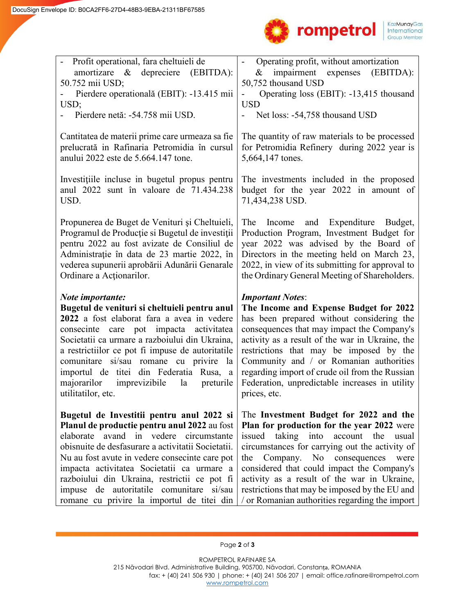

| - Profit operational, fara cheltuieli de<br>amortizare & depreciere (EBITDA):<br>50.752 mii USD;<br>Pierdere operatională (EBIT): -13.415 mii<br>USD;<br>Pierdere netă: -54.758 mii USD.                                                                                                                                                                                                                   | Operating profit, without amortization<br>impairment expenses (EBITDA):<br>&<br>50,752 thousand USD<br>Operating loss (EBIT): -13,415 thousand<br><b>USD</b><br>Net loss: -54,758 thousand USD                                                                                                                                                                                                 |  |  |
|------------------------------------------------------------------------------------------------------------------------------------------------------------------------------------------------------------------------------------------------------------------------------------------------------------------------------------------------------------------------------------------------------------|------------------------------------------------------------------------------------------------------------------------------------------------------------------------------------------------------------------------------------------------------------------------------------------------------------------------------------------------------------------------------------------------|--|--|
| Cantitatea de materii prime care urmeaza sa fie<br>prelucrată in Rafinaria Petromidia în cursul<br>anului 2022 este de 5.664.147 tone.                                                                                                                                                                                                                                                                     | The quantity of raw materials to be processed<br>for Petromidia Refinery during 2022 year is<br>5,664,147 tones.                                                                                                                                                                                                                                                                               |  |  |
| Investitiile incluse in bugetul propus pentru<br>anul 2022 sunt în valoare de 71.434.238<br>USD.                                                                                                                                                                                                                                                                                                           | The investments included in the proposed<br>budget for the year 2022 in amount of<br>71,434,238 USD.                                                                                                                                                                                                                                                                                           |  |  |
| Propunerea de Buget de Venituri și Cheltuieli,<br>Programul de Producție si Bugetul de investiții<br>pentru 2022 au fost avizate de Consiliul de<br>Administrație în data de 23 martie 2022, în<br>vederea supunerii aprobării Adunării Genarale<br>Ordinare a Actionarilor.                                                                                                                               | Expenditure Budget,<br>The<br>Income<br>and<br>Production Program, Investment Budget for<br>year 2022 was advised by the Board of<br>Directors in the meeting held on March 23,<br>2022, in view of its submitting for approval to<br>the Ordinary General Meeting of Shareholders.                                                                                                            |  |  |
| Note importante:                                                                                                                                                                                                                                                                                                                                                                                           | <b>Important Notes:</b>                                                                                                                                                                                                                                                                                                                                                                        |  |  |
| Bugetul de venituri si cheltuieli pentru anul<br>2022 a fost elaborat fara a avea in vedere<br>consecinte care pot impacta activitatea<br>Societatii ca urmare a razboiului din Ukraina,<br>a restrictiilor ce pot fi impuse de autoritatile<br>comunitare si/sau romane cu privire la<br>importul de titei din Federatia Rusa, a<br>majorarilor<br>imprevizibile<br>la<br>preturile<br>utilitatilor, etc. | The Income and Expense Budget for 2022<br>has been prepared without considering the<br>consequences that may impact the Company's<br>activity as a result of the war in Ukraine, the<br>restrictions that may be imposed by the<br>Community and / or Romanian authorities<br>regarding import of crude oil from the Russian<br>Federation, unpredictable increases in utility<br>prices, etc. |  |  |

ROMPETROL RAFINARE SA 215 Năvodari Blvd. Administrative Building, 905700, Năvodari, Constanța, ROMANIA fax: + (40) 241 506 930 | phone: + (40) 241 506 207 | email: office.rafinare@rompetrol.com [www.rompetrol.com](http://www.rompetrol.com/)